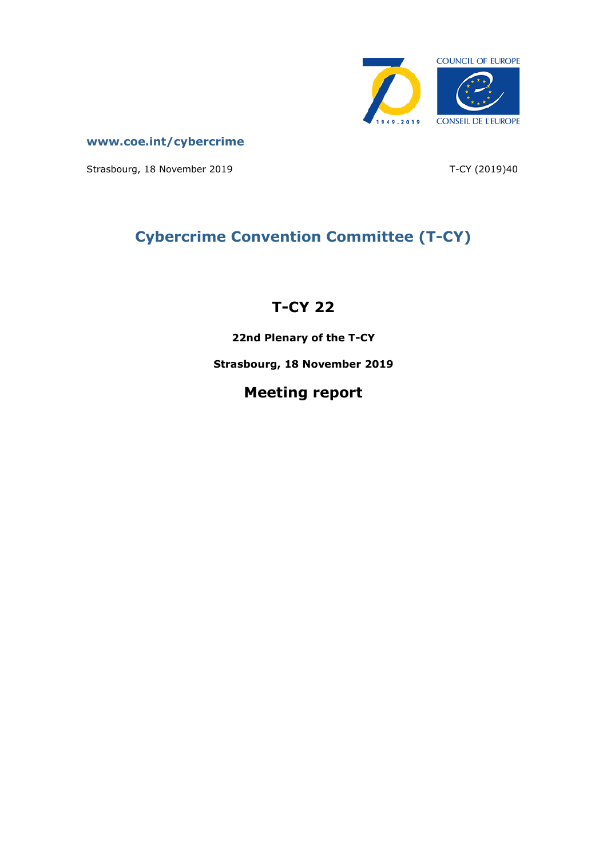

**[www.coe.int/cybercrime](http://www.coe.int/TCY)**

Strasbourg, 18 November 2019 T-CY (2019)40

# **Cybercrime Convention Committee (T-CY)**

# **T-CY 22**

**22nd Plenary of the T-CY**

**Strasbourg, 18 November 2019**

# **Meeting report**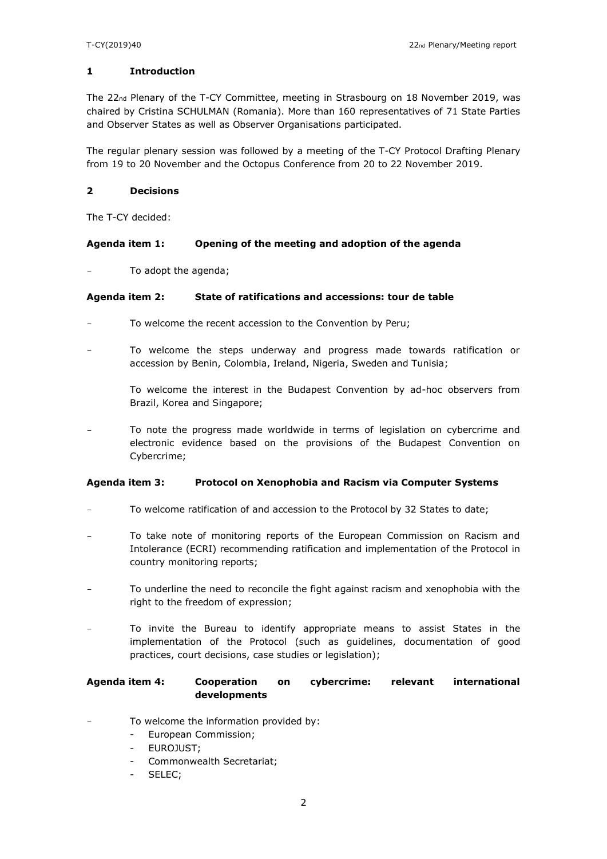### **1 Introduction**

The 22nd Plenary of the T-CY Committee, meeting in Strasbourg on 18 November 2019, was chaired by Cristina SCHULMAN (Romania). More than 160 representatives of 71 State Parties and Observer States as well as Observer Organisations participated.

The regular plenary session was followed by a meeting of the T-CY Protocol Drafting Plenary from 19 to 20 November and the Octopus Conference from 20 to 22 November 2019.

#### **2 Decisions**

The T-CY decided:

### **Agenda item 1: Opening of the meeting and adoption of the agenda**

To adopt the agenda;

#### **Agenda item 2: State of ratifications and accessions: tour de table**

- To welcome the recent accession to the Convention by Peru;
- To welcome the steps underway and progress made towards ratification or accession by Benin, Colombia, Ireland, Nigeria, Sweden and Tunisia;

To welcome the interest in the Budapest Convention by ad-hoc observers from Brazil, Korea and Singapore;

To note the progress made worldwide in terms of legislation on cybercrime and electronic evidence based on the provisions of the Budapest Convention on Cybercrime;

#### **Agenda item 3: Protocol on Xenophobia and Racism via Computer Systems**

- To welcome ratification of and accession to the Protocol by 32 States to date;
- To take note of monitoring reports of the European Commission on Racism and Intolerance (ECRI) recommending ratification and implementation of the Protocol in country monitoring reports;
- To underline the need to reconcile the fight against racism and xenophobia with the right to the freedom of expression;
- To invite the Bureau to identify appropriate means to assist States in the implementation of the Protocol (such as guidelines, documentation of good practices, court decisions, case studies or legislation);

## **Agenda item 4: Cooperation on cybercrime: relevant international developments**

- To welcome the information provided by:
	- European Commission;
	- EUROJUST;
	- Commonwealth Secretariat;
	- SELEC;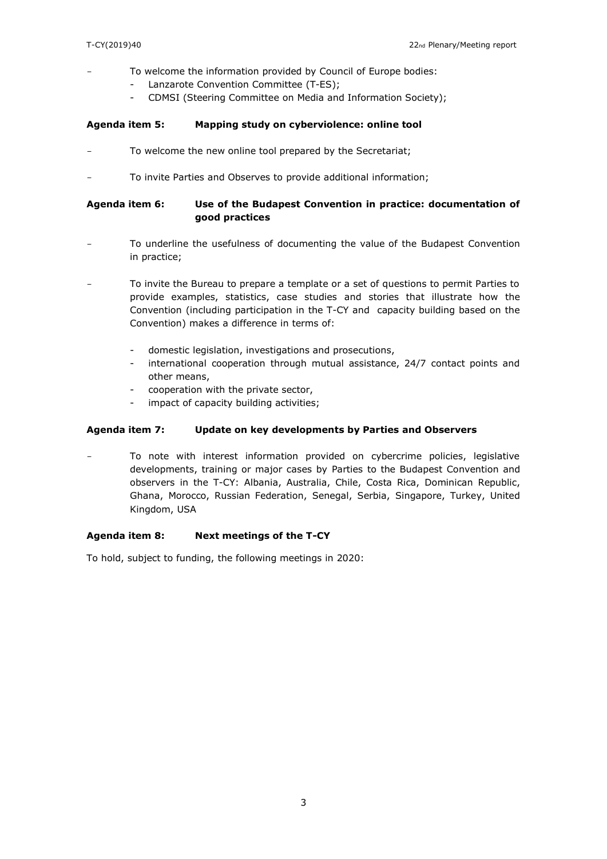- To welcome the information provided by Council of Europe bodies:
	- Lanzarote Convention Committee (T-ES);
	- CDMSI (Steering Committee on Media and Information Society);

#### **Agenda item 5: Mapping study on cyberviolence: online tool**

- To welcome the new online tool prepared by the Secretariat;
- To invite Parties and Observes to provide additional information;

## **Agenda item 6: Use of the Budapest Convention in practice: documentation of good practices**

- To underline the usefulness of documenting the value of the Budapest Convention in practice;
- To invite the Bureau to prepare a template or a set of questions to permit Parties to provide examples, statistics, case studies and stories that illustrate how the Convention (including participation in the T-CY and capacity building based on the Convention) makes a difference in terms of:
	- domestic legislation, investigations and prosecutions,
	- international cooperation through mutual assistance, 24/7 contact points and other means,
	- cooperation with the private sector,
	- impact of capacity building activities;

#### **Agenda item 7: Update on key developments by Parties and Observers**

To note with interest information provided on cybercrime policies, legislative developments, training or major cases by Parties to the Budapest Convention and observers in the T-CY: Albania, Australia, Chile, Costa Rica, Dominican Republic, Ghana, Morocco, Russian Federation, Senegal, Serbia, Singapore, Turkey, United Kingdom, USA

### **Agenda item 8: Next meetings of the T-CY**

To hold, subject to funding, the following meetings in 2020: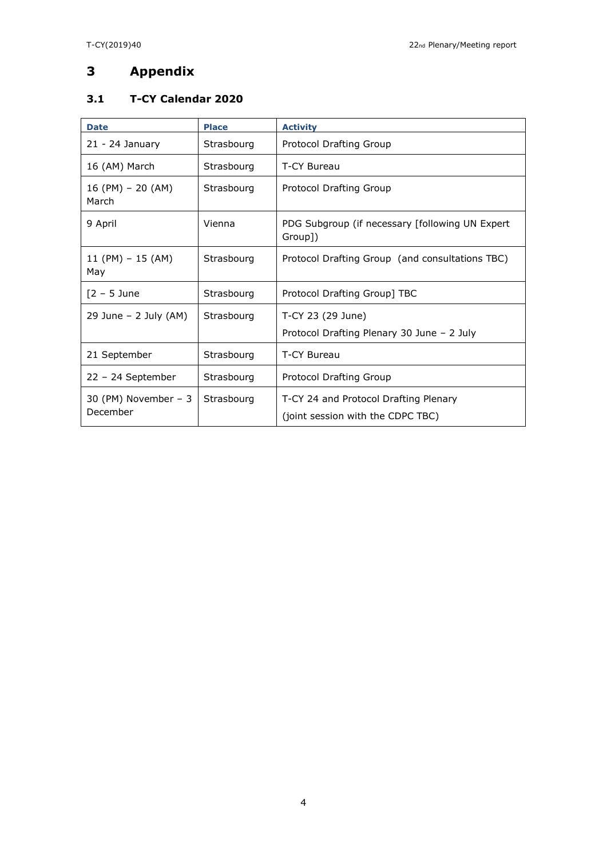## **3 Appendix**

## **3.1 T-CY Calendar 2020**

| <b>Date</b>                       | <b>Place</b> | <b>Activity</b>                                                            |
|-----------------------------------|--------------|----------------------------------------------------------------------------|
| $21 - 24$ January                 | Strasbourg   | Protocol Drafting Group                                                    |
| 16 (AM) March                     | Strasbourg   | T-CY Bureau                                                                |
| $16$ (PM) – 20 (AM)<br>March      | Strasbourg   | Protocol Drafting Group                                                    |
| 9 April                           | Vienna       | PDG Subgroup (if necessary [following UN Expert<br>Group])                 |
| 11 (PM) $-$ 15 (AM)<br>May        | Strasbourg   | Protocol Drafting Group (and consultations TBC)                            |
| $[2 - 5$ June                     | Strasbourg   | Protocol Drafting Group] TBC                                               |
| $29$ June – 2 July (AM)           | Strasbourg   | T-CY 23 (29 June)                                                          |
|                                   |              | Protocol Drafting Plenary 30 June - 2 July                                 |
| 21 September                      | Strasbourg   | T-CY Bureau                                                                |
| $22 - 24$ September               | Strasbourg   | Protocol Drafting Group                                                    |
| 30 (PM) November $-3$<br>December | Strasbourg   | T-CY 24 and Protocol Drafting Plenary<br>(joint session with the CDPC TBC) |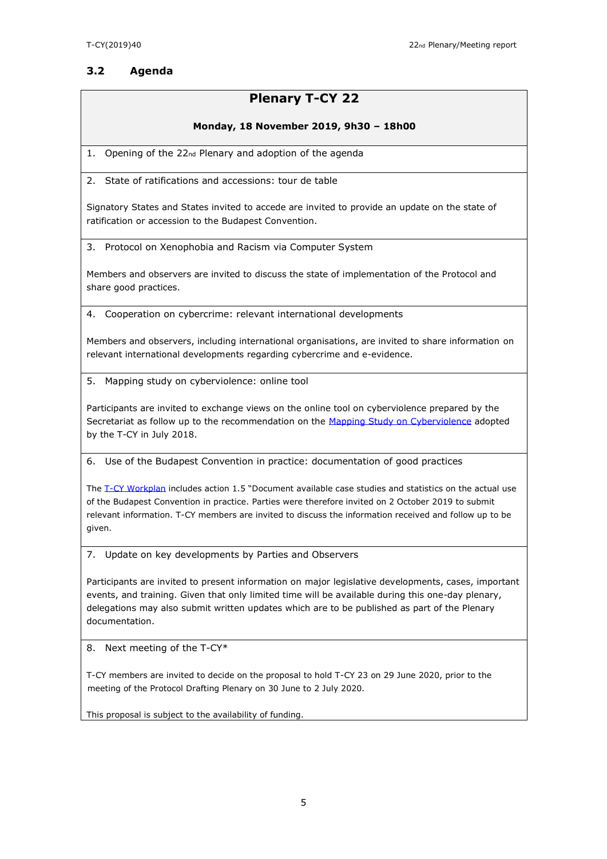## **3.2 Agenda**

## **Plenary T-CY 22**

### **Monday, 18 November 2019, 9h30 – 18h00**

1. Opening of the 22nd Plenary and adoption of the agenda

2. State of ratifications and accessions: tour de table

Signatory States and States invited to accede are invited to provide an update on the state of ratification or accession to the Budapest Convention.

3. Protocol on Xenophobia and Racism via Computer System

Members and observers are invited to discuss the state of implementation of the Protocol and share good practices.

4. Cooperation on cybercrime: relevant international developments

Members and observers, including international organisations, are invited to share information on relevant international developments regarding cybercrime and e-evidence.

5. Mapping study on cyberviolence: online tool

Participants are invited to exchange views on the online tool on cyberviolence prepared by the Secretariat as follow up to the recommendation on the [Mapping Study on Cyberviolence](https://rm.coe.int/t-cy-2017-10-cbg-study-provisional/16808c4914) adopted by the T-CY in July 2018.

6. Use of the Budapest Convention in practice: documentation of good practices

The [T-CY Workplan](https://rm.coe.int/t-cy-2018-27-tcy-workplan-v6adopted/16808febc6) includes action 1.5 "Document available case studies and statistics on the actual use of the Budapest Convention in practice. Parties were therefore invited on 2 October 2019 to submit relevant information. T-CY members are invited to discuss the information received and follow up to be given.

7. Update on key developments by Parties and Observers

Participants are invited to present information on major legislative developments, cases, important events, and training. Given that only limited time will be available during this one-day plenary, delegations may also submit written updates which are to be published as part of the Plenary documentation.

8. Next meeting of the T-CY\*

T-CY members are invited to decide on the proposal to hold T-CY 23 on 29 June 2020, prior to the meeting of the Protocol Drafting Plenary on 30 June to 2 July 2020.

This proposal is subject to the availability of funding.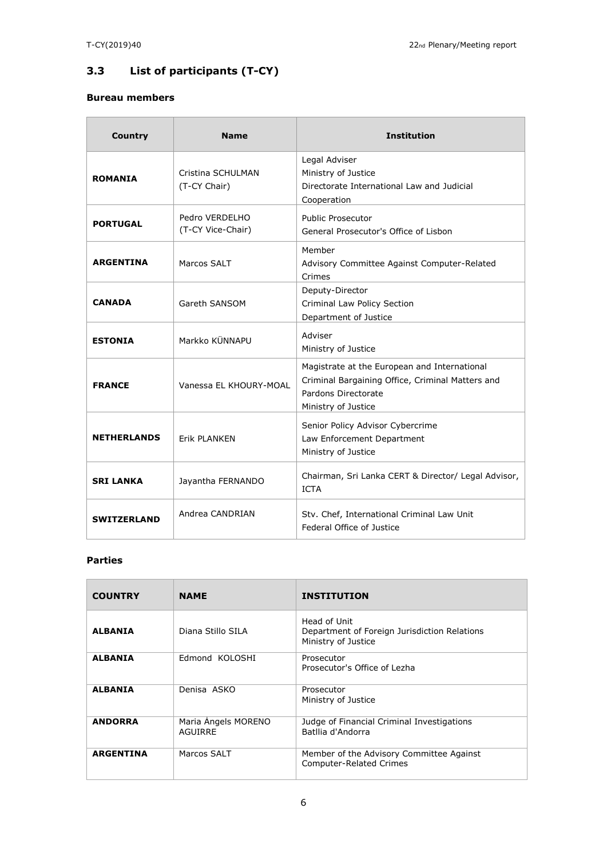## **3.3 List of participants (T-CY)**

## **Bureau members**

| Country            | <b>Name</b>                         | <b>Institution</b>                                                                                                                             |
|--------------------|-------------------------------------|------------------------------------------------------------------------------------------------------------------------------------------------|
| <b>ROMANIA</b>     | Cristina SCHULMAN<br>(T-CY Chair)   | Legal Adviser<br>Ministry of Justice<br>Directorate International Law and Judicial<br>Cooperation                                              |
| <b>PORTUGAL</b>    | Pedro VERDELHO<br>(T-CY Vice-Chair) | <b>Public Prosecutor</b><br>General Prosecutor's Office of Lisbon                                                                              |
| <b>ARGENTINA</b>   | Marcos SALT                         | Member<br>Advisory Committee Against Computer-Related<br>Crimes                                                                                |
| <b>CANADA</b>      | Gareth SANSOM                       | Deputy-Director<br>Criminal Law Policy Section<br>Department of Justice                                                                        |
| <b>ESTONIA</b>     | Markko KÜNNAPU                      | Adviser<br>Ministry of Justice                                                                                                                 |
| <b>FRANCE</b>      | Vanessa EL KHOURY-MOAL              | Magistrate at the European and International<br>Criminal Bargaining Office, Criminal Matters and<br>Pardons Directorate<br>Ministry of Justice |
| <b>NETHERLANDS</b> | <b>Erik PLANKEN</b>                 | Senior Policy Advisor Cybercrime<br>Law Enforcement Department<br>Ministry of Justice                                                          |
| <b>SRI LANKA</b>   | Jayantha FERNANDO                   | Chairman, Sri Lanka CERT & Director/ Legal Advisor,<br><b>ICTA</b>                                                                             |
| <b>SWITZERLAND</b> | Andrea CANDRIAN                     | Stv. Chef, International Criminal Law Unit<br>Federal Office of Justice                                                                        |

## **Parties**

| <b>COUNTRY</b>   | <b>NAME</b>                           | <b>INSTITUTION</b>                                                                  |
|------------------|---------------------------------------|-------------------------------------------------------------------------------------|
| <b>ALBANIA</b>   | Diana Stillo SILA                     | Head of Unit<br>Department of Foreign Jurisdiction Relations<br>Ministry of Justice |
| <b>ALBANIA</b>   | Edmond KOLOSHI                        | Prosecutor<br>Prosecutor's Office of Lezha                                          |
| <b>ALBANIA</b>   | Denisa ASKO                           | Prosecutor<br>Ministry of Justice                                                   |
| <b>ANDORRA</b>   | Maria Angels MORENO<br><b>AGUIRRE</b> | Judge of Financial Criminal Investigations<br>Batllia d'Andorra                     |
| <b>ARGENTINA</b> | Marcos SALT                           | Member of the Advisory Committee Against<br><b>Computer-Related Crimes</b>          |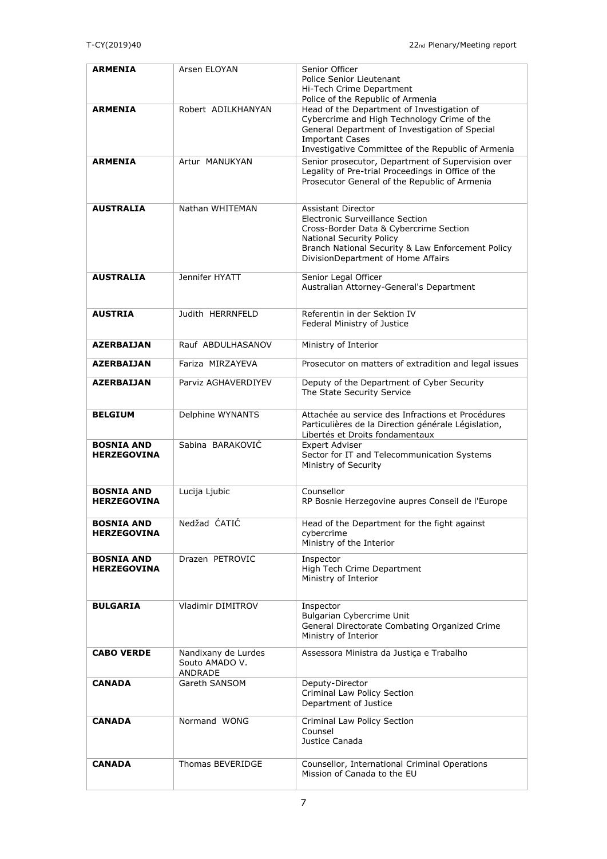| <b>ARMENIA</b>                          | Arsen ELOYAN                                     | Senior Officer<br>Police Senior Lieutenant<br>Hi-Tech Crime Department<br>Police of the Republic of Armenia                                                                                                                   |
|-----------------------------------------|--------------------------------------------------|-------------------------------------------------------------------------------------------------------------------------------------------------------------------------------------------------------------------------------|
| <b>ARMENIA</b>                          | Robert ADILKHANYAN                               | Head of the Department of Investigation of<br>Cybercrime and High Technology Crime of the<br>General Department of Investigation of Special<br><b>Important Cases</b><br>Investigative Committee of the Republic of Armenia   |
| <b>ARMENIA</b>                          | Artur MANUKYAN                                   | Senior prosecutor, Department of Supervision over<br>Legality of Pre-trial Proceedings in Office of the<br>Prosecutor General of the Republic of Armenia                                                                      |
| <b>AUSTRALIA</b>                        | Nathan WHITEMAN                                  | Assistant Director<br>Electronic Surveillance Section<br>Cross-Border Data & Cybercrime Section<br><b>National Security Policy</b><br>Branch National Security & Law Enforcement Policy<br>DivisionDepartment of Home Affairs |
| <b>AUSTRALIA</b>                        | Jennifer HYATT                                   | Senior Legal Officer<br>Australian Attorney-General's Department                                                                                                                                                              |
| <b>AUSTRIA</b>                          | Judith HERRNFELD                                 | Referentin in der Sektion IV<br>Federal Ministry of Justice                                                                                                                                                                   |
| <b>AZERBAIJAN</b>                       | Rauf ABDULHASANOV                                | Ministry of Interior                                                                                                                                                                                                          |
| <b>AZERBAIJAN</b>                       | Fariza MIRZAYEVA                                 | Prosecutor on matters of extradition and legal issues                                                                                                                                                                         |
| <b>AZERBAIJAN</b>                       | Parviz AGHAVERDIYEV                              | Deputy of the Department of Cyber Security<br>The State Security Service                                                                                                                                                      |
| <b>BELGIUM</b>                          | Delphine WYNANTS                                 | Attachée au service des Infractions et Procédures<br>Particulières de la Direction générale Législation,<br>Libertés et Droits fondamentaux                                                                                   |
| <b>BOSNIA AND</b><br><b>HERZEGOVINA</b> | Sabina BARAKOVIĆ                                 | <b>Expert Adviser</b><br>Sector for IT and Telecommunication Systems<br>Ministry of Security                                                                                                                                  |
| <b>BOSNIA AND</b><br><b>HERZEGOVINA</b> | Lucija Ljubic                                    | Counsellor<br>RP Bosnie Herzegovine aupres Conseil de l'Europe                                                                                                                                                                |
| <b>BOSNIA AND</b><br><b>HERZEGOVINA</b> | Nedžad ĆATIĆ                                     | Head of the Department for the fight against<br>cybercrime<br>Ministry of the Interior                                                                                                                                        |
| <b>BOSNIA AND</b><br><b>HERZEGOVINA</b> | Drazen PETROVIC                                  | Inspector<br>High Tech Crime Department<br>Ministry of Interior                                                                                                                                                               |
| <b>BULGARIA</b>                         | Vladimir DIMITROV                                | Inspector<br>Bulgarian Cybercrime Unit<br>General Directorate Combating Organized Crime<br>Ministry of Interior                                                                                                               |
| <b>CABO VERDE</b>                       | Nandixany de Lurdes<br>Souto AMADO V.<br>ANDRADE | Assessora Ministra da Justiça e Trabalho                                                                                                                                                                                      |
| <b>CANADA</b>                           | Gareth SANSOM                                    | Deputy-Director<br>Criminal Law Policy Section<br>Department of Justice                                                                                                                                                       |
| <b>CANADA</b>                           | Normand WONG                                     | Criminal Law Policy Section<br>Counsel<br>Justice Canada                                                                                                                                                                      |
| <b>CANADA</b>                           | Thomas BEVERIDGE                                 | Counsellor, International Criminal Operations<br>Mission of Canada to the EU                                                                                                                                                  |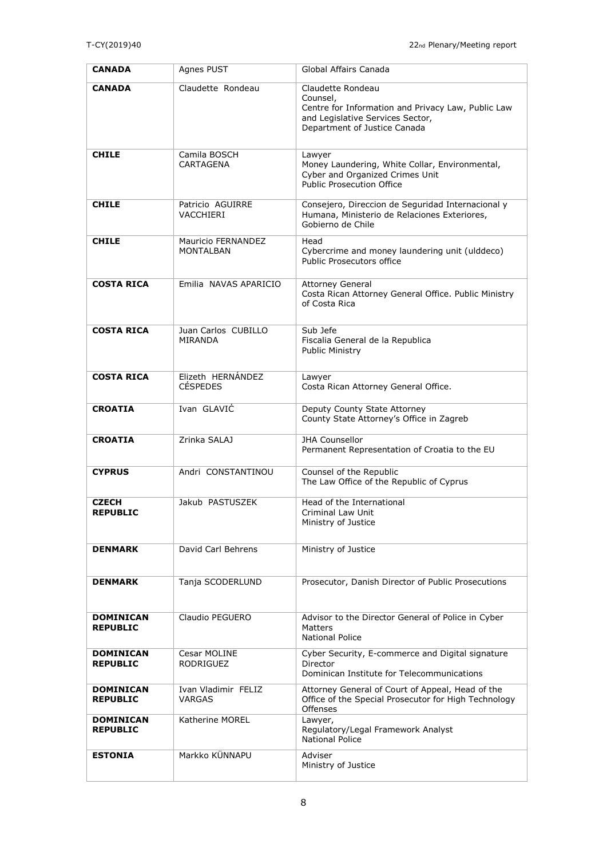| <b>CANADA</b>                       | Agnes PUST                             | Global Affairs Canada                                                                                                                                   |
|-------------------------------------|----------------------------------------|---------------------------------------------------------------------------------------------------------------------------------------------------------|
| <b>CANADA</b>                       | Claudette Rondeau                      | Claudette Rondeau<br>Counsel,<br>Centre for Information and Privacy Law, Public Law<br>and Legislative Services Sector,<br>Department of Justice Canada |
| <b>CHILE</b>                        | Camila BOSCH<br>CARTAGENA              | Lawyer<br>Money Laundering, White Collar, Environmental,<br>Cyber and Organized Crimes Unit<br>Public Prosecution Office                                |
| <b>CHILE</b>                        | Patricio AGUIRRE<br>VACCHIERI          | Consejero, Direccion de Seguridad Internacional y<br>Humana, Ministerio de Relaciones Exteriores,<br>Gobierno de Chile                                  |
| <b>CHILE</b>                        | Mauricio FERNANDEZ<br><b>MONTALBAN</b> | Head<br>Cybercrime and money laundering unit (ulddeco)<br>Public Prosecutors office                                                                     |
| <b>COSTA RICA</b>                   | Emilia NAVAS APARICIO                  | <b>Attorney General</b><br>Costa Rican Attorney General Office. Public Ministry<br>of Costa Rica                                                        |
| <b>COSTA RICA</b>                   | Juan Carlos CUBILLO<br>MIRANDA         | Sub Jefe<br>Fiscalia General de la Republica<br>Public Ministry                                                                                         |
| <b>COSTA RICA</b>                   | Elizeth HERNÁNDEZ<br><b>CÉSPEDES</b>   | Lawyer<br>Costa Rican Attorney General Office.                                                                                                          |
| <b>CROATIA</b>                      | Ivan GLAVIĆ                            | Deputy County State Attorney<br>County State Attorney's Office in Zagreb                                                                                |
| <b>CROATIA</b>                      | Zrinka SALAJ                           | <b>JHA Counsellor</b><br>Permanent Representation of Croatia to the EU                                                                                  |
| <b>CYPRUS</b>                       | Andri CONSTANTINOU                     | Counsel of the Republic<br>The Law Office of the Republic of Cyprus                                                                                     |
| <b>CZECH</b><br><b>REPUBLIC</b>     | Jakub PASTUSZEK                        | Head of the International<br>Criminal Law Unit<br>Ministry of Justice                                                                                   |
| <b>DENMARK</b>                      | David Carl Behrens                     | Ministry of Justice                                                                                                                                     |
| <b>DENMARK</b>                      | Tanja SCODERLUND                       | Prosecutor, Danish Director of Public Prosecutions                                                                                                      |
| <b>DOMINICAN</b><br><b>REPUBLIC</b> | Claudio PEGUERO                        | Advisor to the Director General of Police in Cyber<br>Matters<br><b>National Police</b>                                                                 |
| <b>DOMINICAN</b><br><b>REPUBLIC</b> | Cesar MOLINE<br>RODRIGUEZ              | Cyber Security, E-commerce and Digital signature<br>Director<br>Dominican Institute for Telecommunications                                              |
| <b>DOMINICAN</b><br><b>REPUBLIC</b> | Ivan Vladimir FELIZ<br>VARGAS          | Attorney General of Court of Appeal, Head of the<br>Office of the Special Prosecutor for High Technology<br><b>Offenses</b>                             |
| <b>DOMINICAN</b><br><b>REPUBLIC</b> | Katherine MOREL                        | Lawyer,<br>Regulatory/Legal Framework Analyst<br><b>National Police</b>                                                                                 |
| <b>ESTONIA</b>                      | Markko KÜNNAPU                         | Adviser<br>Ministry of Justice                                                                                                                          |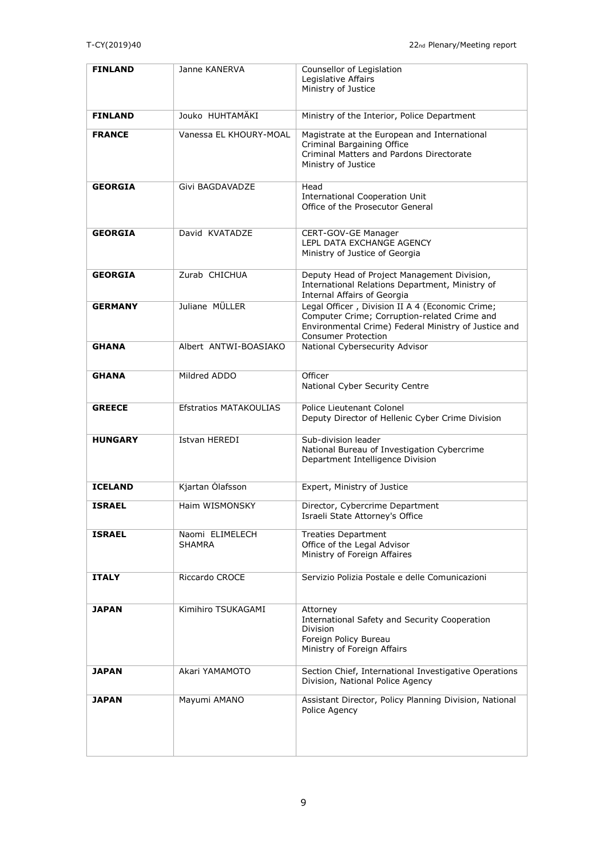| <b>FINLAND</b> | Janne KANERVA                    | Counsellor of Legislation<br>Legislative Affairs<br>Ministry of Justice                                                                                                               |
|----------------|----------------------------------|---------------------------------------------------------------------------------------------------------------------------------------------------------------------------------------|
| <b>FINLAND</b> | Jouko HUHTAMÄKI                  | Ministry of the Interior, Police Department                                                                                                                                           |
| <b>FRANCE</b>  | Vanessa EL KHOURY-MOAL           | Magistrate at the European and International<br>Criminal Bargaining Office<br>Criminal Matters and Pardons Directorate<br>Ministry of Justice                                         |
| <b>GEORGIA</b> | Givi BAGDAVADZE                  | Head<br><b>International Cooperation Unit</b><br>Office of the Prosecutor General                                                                                                     |
| <b>GEORGIA</b> | David KVATADZE                   | CERT-GOV-GE Manager<br>LEPL DATA EXCHANGE AGENCY<br>Ministry of Justice of Georgia                                                                                                    |
| <b>GEORGIA</b> | Zurab CHICHUA                    | Deputy Head of Project Management Division,<br>International Relations Department, Ministry of<br><b>Internal Affairs of Georgia</b>                                                  |
| <b>GERMANY</b> | Juliane MÜLLER                   | Legal Officer, Division II A 4 (Economic Crime;<br>Computer Crime; Corruption-related Crime and<br>Environmental Crime) Federal Ministry of Justice and<br><b>Consumer Protection</b> |
| <b>GHANA</b>   | Albert ANTWI-BOASIAKO            | National Cybersecurity Advisor                                                                                                                                                        |
| <b>GHANA</b>   | Mildred ADDO                     | Officer<br>National Cyber Security Centre                                                                                                                                             |
| <b>GREECE</b>  | <b>Efstratios MATAKOULIAS</b>    | Police Lieutenant Colonel<br>Deputy Director of Hellenic Cyber Crime Division                                                                                                         |
| <b>HUNGARY</b> | <b>Istvan HEREDI</b>             | Sub-division leader<br>National Bureau of Investigation Cybercrime<br>Department Intelligence Division                                                                                |
| <b>ICELAND</b> | Kjartan Ólafsson                 | Expert, Ministry of Justice                                                                                                                                                           |
| <b>ISRAEL</b>  | Haim WISMONSKY                   | Director, Cybercrime Department<br>Israeli State Attorney's Office                                                                                                                    |
| <b>ISRAEL</b>  | Naomi ELIMELECH<br><b>SHAMRA</b> | <b>Treaties Department</b><br>Office of the Legal Advisor<br>Ministry of Foreign Affaires                                                                                             |
| <b>ITALY</b>   | Riccardo CROCE                   | Servizio Polizia Postale e delle Comunicazioni                                                                                                                                        |
| <b>JAPAN</b>   | Kimihiro TSUKAGAMI               | Attorney<br>International Safety and Security Cooperation<br><b>Division</b><br>Foreign Policy Bureau<br>Ministry of Foreign Affairs                                                  |
| <b>JAPAN</b>   | Akari YAMAMOTO                   | Section Chief, International Investigative Operations<br>Division, National Police Agency                                                                                             |
| <b>JAPAN</b>   | Mayumi AMANO                     | Assistant Director, Policy Planning Division, National<br>Police Agency                                                                                                               |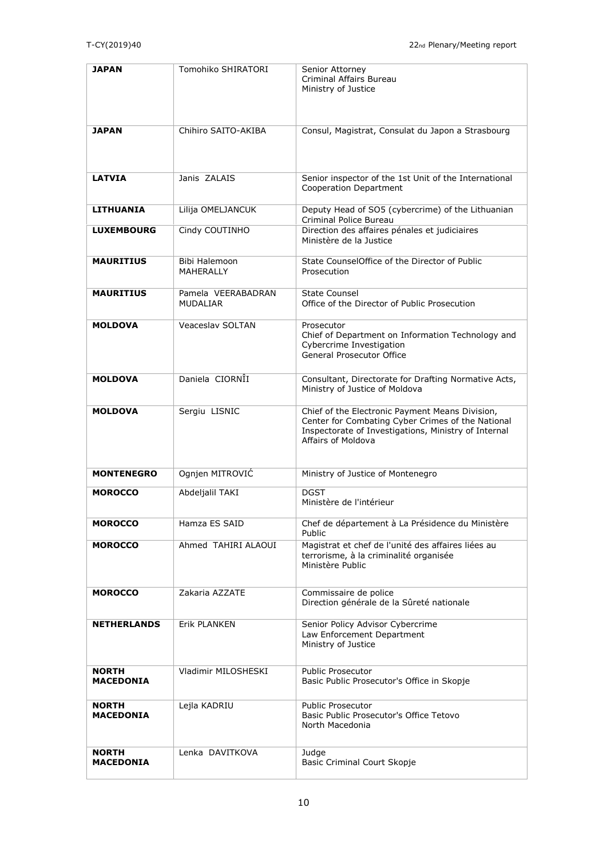| <b>JAPAN</b>                     | Tomohiko SHIRATORI                    | Senior Attorney<br>Criminal Affairs Bureau<br>Ministry of Justice                                                                                                                  |
|----------------------------------|---------------------------------------|------------------------------------------------------------------------------------------------------------------------------------------------------------------------------------|
| <b>JAPAN</b>                     | Chihiro SAITO-AKIBA                   | Consul, Magistrat, Consulat du Japon a Strasbourg                                                                                                                                  |
| <b>LATVIA</b>                    | Janis ZALAIS                          | Senior inspector of the 1st Unit of the International<br>Cooperation Department                                                                                                    |
| <b>LITHUANIA</b>                 | Lilija OMELJANCUK                     | Deputy Head of SO5 (cybercrime) of the Lithuanian<br>Criminal Police Bureau                                                                                                        |
| <b>LUXEMBOURG</b>                | Cindy COUTINHO                        | Direction des affaires pénales et judiciaires<br>Ministère de la Justice                                                                                                           |
| <b>MAURITIUS</b>                 | Bibi Halemoon<br><b>MAHFRAIIY</b>     | State CounselOffice of the Director of Public<br>Prosecution                                                                                                                       |
| <b>MAURITIUS</b>                 | Pamela VEERABADRAN<br><b>MUDALIAR</b> | <b>State Counsel</b><br>Office of the Director of Public Prosecution                                                                                                               |
| <b>MOLDOVA</b>                   | <b>Veaceslav SOLTAN</b>               | Prosecutor<br>Chief of Department on Information Technology and<br>Cybercrime Investigation<br><b>General Prosecutor Office</b>                                                    |
| <b>MOLDOVA</b>                   | Daniela CIORNII                       | Consultant, Directorate for Drafting Normative Acts,<br>Ministry of Justice of Moldova                                                                                             |
| <b>MOLDOVA</b>                   | Sergiu LISNIC                         | Chief of the Electronic Payment Means Division,<br>Center for Combating Cyber Crimes of the National<br>Inspectorate of Investigations, Ministry of Internal<br>Affairs of Moldova |
| <b>MONTENEGRO</b>                | Ognjen MITROVIĆ                       | Ministry of Justice of Montenegro                                                                                                                                                  |
| <b>MOROCCO</b>                   | Abdeljalil TAKI                       | <b>DGST</b><br>Ministère de l'intérieur                                                                                                                                            |
| <b>MOROCCO</b>                   | Hamza ES SAID                         | Chef de département à La Présidence du Ministère<br>Public                                                                                                                         |
| <b>MOROCCO</b>                   | Ahmed TAHIRI ALAOUI                   | Magistrat et chef de l'unité des affaires liées au<br>terrorisme, à la criminalité organisée<br>Ministère Public                                                                   |
| <b>MOROCCO</b>                   | Zakaria AZZATE                        | Commissaire de police<br>Direction générale de la Sûreté nationale                                                                                                                 |
| <b>NETHERLANDS</b>               | Erik PLANKEN                          | Senior Policy Advisor Cybercrime<br>Law Enforcement Department<br>Ministry of Justice                                                                                              |
| <b>NORTH</b><br><b>MACEDONIA</b> | Vladimir MILOSHESKI                   | Public Prosecutor<br>Basic Public Prosecutor's Office in Skopje                                                                                                                    |
| <b>NORTH</b><br><b>MACEDONIA</b> | Lejla KADRIU                          | <b>Public Prosecutor</b><br>Basic Public Prosecutor's Office Tetovo<br>North Macedonia                                                                                             |
| <b>NORTH</b><br><b>MACEDONIA</b> | Lenka DAVITKOVA                       | Judge<br>Basic Criminal Court Skopje                                                                                                                                               |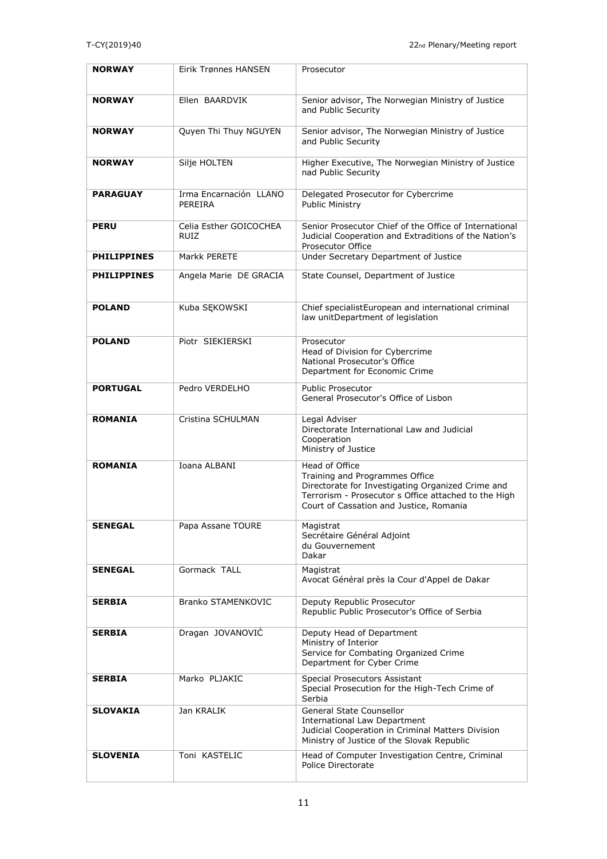| <b>NORWAY</b>      | <b>Eirik Trønnes HANSEN</b>       | Prosecutor                                                                                                                                                                                               |
|--------------------|-----------------------------------|----------------------------------------------------------------------------------------------------------------------------------------------------------------------------------------------------------|
| <b>NORWAY</b>      | Ellen BAARDVIK                    | Senior advisor, The Norwegian Ministry of Justice<br>and Public Security                                                                                                                                 |
| <b>NORWAY</b>      | Quyen Thi Thuy NGUYEN             | Senior advisor, The Norwegian Ministry of Justice<br>and Public Security                                                                                                                                 |
| <b>NORWAY</b>      | Silje HOLTEN                      | Higher Executive, The Norwegian Ministry of Justice<br>nad Public Security                                                                                                                               |
| <b>PARAGUAY</b>    | Irma Encarnación LLANO<br>PEREIRA | Delegated Prosecutor for Cybercrime<br>Public Ministry                                                                                                                                                   |
| <b>PERU</b>        | Celia Esther GOICOCHEA<br>RUIZ    | Senior Prosecutor Chief of the Office of International<br>Judicial Cooperation and Extraditions of the Nation's<br>Prosecutor Office                                                                     |
| <b>PHILIPPINES</b> | Markk PERETE                      | Under Secretary Department of Justice                                                                                                                                                                    |
| <b>PHILIPPINES</b> | Angela Marie DE GRACIA            | State Counsel, Department of Justice                                                                                                                                                                     |
| <b>POLAND</b>      | Kuba SEKOWSKI                     | Chief specialistEuropean and international criminal<br>law unitDepartment of legislation                                                                                                                 |
| <b>POLAND</b>      | Piotr SIEKIERSKI                  | Prosecutor<br>Head of Division for Cybercrime<br>National Prosecutor's Office<br>Department for Economic Crime                                                                                           |
| <b>PORTUGAL</b>    | Pedro VERDELHO                    | <b>Public Prosecutor</b><br>General Prosecutor's Office of Lisbon                                                                                                                                        |
| <b>ROMANIA</b>     | Cristina SCHULMAN                 | Legal Adviser<br>Directorate International Law and Judicial<br>Cooperation<br>Ministry of Justice                                                                                                        |
| <b>ROMANIA</b>     | Ioana ALBANI                      | Head of Office<br>Training and Programmes Office<br>Directorate for Investigating Organized Crime and<br>Terrorism - Prosecutor s Office attached to the High<br>Court of Cassation and Justice, Romania |
| <b>SENEGAL</b>     | Papa Assane TOURE                 | Magistrat<br>Secrétaire Général Adjoint<br>du Gouvernement<br>Dakar                                                                                                                                      |
| <b>SENEGAL</b>     | Gormack TALL                      | Magistrat<br>Avocat Général près la Cour d'Appel de Dakar                                                                                                                                                |
| <b>SERBIA</b>      | Branko STAMENKOVIC                | Deputy Republic Prosecutor<br>Republic Public Prosecutor's Office of Serbia                                                                                                                              |
| <b>SERBIA</b>      | Dragan JOVANOVIC                  | Deputy Head of Department<br>Ministry of Interior<br>Service for Combating Organized Crime<br>Department for Cyber Crime                                                                                 |
| <b>SERBIA</b>      | Marko PLJAKIC                     | Special Prosecutors Assistant<br>Special Prosecution for the High-Tech Crime of<br>Serbia                                                                                                                |
| <b>SLOVAKIA</b>    | Jan KRALIK                        | General State Counsellor<br><b>International Law Department</b><br>Judicial Cooperation in Criminal Matters Division<br>Ministry of Justice of the Slovak Republic                                       |
| <b>SLOVENIA</b>    | Toni KASTELIC                     | Head of Computer Investigation Centre, Criminal<br>Police Directorate                                                                                                                                    |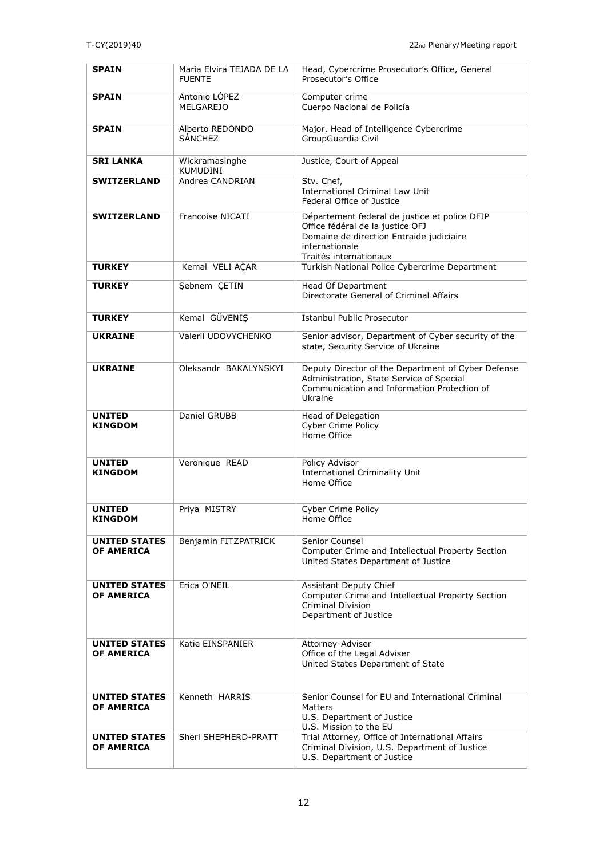| <b>SPAIN</b>                              | Maria Elvira TEJADA DE LA<br><b>FUENTE</b> | Head, Cybercrime Prosecutor's Office, General<br>Prosecutor's Office                                                                                                      |
|-------------------------------------------|--------------------------------------------|---------------------------------------------------------------------------------------------------------------------------------------------------------------------------|
| <b>SPAIN</b>                              | Antonio LÓPEZ<br><b>MELGAREJO</b>          | Computer crime<br>Cuerpo Nacional de Policía                                                                                                                              |
| <b>SPAIN</b>                              | Alberto REDONDO<br><b>SÁNCHEZ</b>          | Major. Head of Intelligence Cybercrime<br>GroupGuardia Civil                                                                                                              |
| <b>SRI LANKA</b>                          | Wickramasinghe<br><b>KUMUDINI</b>          | Justice, Court of Appeal                                                                                                                                                  |
| <b>SWITZERLAND</b>                        | Andrea CANDRIAN                            | Stv. Chef,<br><b>International Criminal Law Unit</b><br>Federal Office of Justice                                                                                         |
| <b>SWITZERLAND</b>                        | Francoise NICATI                           | Département federal de justice et police DFJP<br>Office fédéral de la justice OFJ<br>Domaine de direction Entraide judiciaire<br>internationale<br>Traités internationaux |
| <b>TURKEY</b>                             | Kemal VELI AÇAR                            | Turkish National Police Cybercrime Department                                                                                                                             |
| <b>TURKEY</b>                             | Şebnem ÇETIN                               | Head Of Department<br>Directorate General of Criminal Affairs                                                                                                             |
| <b>TURKEY</b>                             | Kemal GÜVENIŞ                              | Istanbul Public Prosecutor                                                                                                                                                |
| <b>UKRAINE</b>                            | Valerii UDOVYCHENKO                        | Senior advisor, Department of Cyber security of the<br>state, Security Service of Ukraine                                                                                 |
| <b>UKRAINE</b>                            | Oleksandr BAKALYNSKYI                      | Deputy Director of the Department of Cyber Defense<br>Administration, State Service of Special<br>Communication and Information Protection of<br>Ukraine                  |
| <b>UNITED</b><br><b>KINGDOM</b>           | Daniel GRUBB                               | Head of Delegation<br>Cyber Crime Policy<br>Home Office                                                                                                                   |
| <b>UNITED</b><br><b>KINGDOM</b>           | Veronique READ                             | Policy Advisor<br><b>International Criminality Unit</b><br>Home Office                                                                                                    |
| <b>UNITED</b><br>KINGDOM                  | Priya MISTRY                               | Cyber Crime Policy<br>Home Office                                                                                                                                         |
| <b>UNITED STATES</b><br><b>OF AMERICA</b> | Benjamin FITZPATRICK                       | Senior Counsel<br>Computer Crime and Intellectual Property Section<br>United States Department of Justice                                                                 |
| <b>UNITED STATES</b><br><b>OF AMERICA</b> | Erica O'NEIL                               | Assistant Deputy Chief<br>Computer Crime and Intellectual Property Section<br><b>Criminal Division</b><br>Department of Justice                                           |
| <b>UNITED STATES</b><br>OF AMERICA        | Katie EINSPANIER                           | Attorney-Adviser<br>Office of the Legal Adviser<br>United States Department of State                                                                                      |
| <b>UNITED STATES</b><br><b>OF AMERICA</b> | Kenneth HARRIS                             | Senior Counsel for EU and International Criminal<br>Matters<br>U.S. Department of Justice<br>U.S. Mission to the EU                                                       |
| <b>UNITED STATES</b><br><b>OF AMERICA</b> | Sheri SHEPHERD-PRATT                       | Trial Attorney, Office of International Affairs<br>Criminal Division, U.S. Department of Justice<br>U.S. Department of Justice                                            |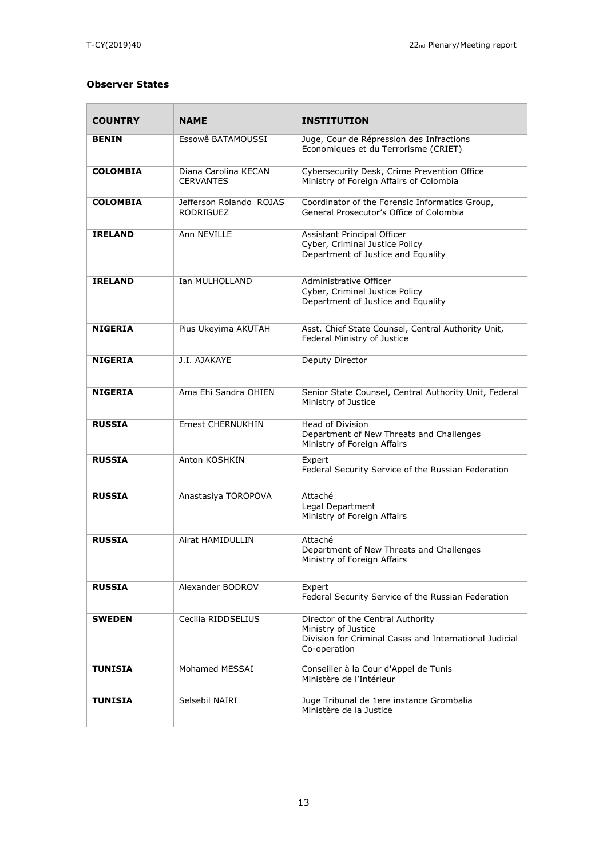$\blacksquare$ 

## **Observer States**

| <b>COUNTRY</b>  | <b>NAME</b>                                 | <b>INSTITUTION</b>                                                                                                                 |
|-----------------|---------------------------------------------|------------------------------------------------------------------------------------------------------------------------------------|
| <b>BENIN</b>    | Essowê BATAMOUSSI                           | Juge, Cour de Répression des Infractions<br>Economiques et du Terrorisme (CRIET)                                                   |
| <b>COLOMBIA</b> | Diana Carolina KECAN<br><b>CERVANTES</b>    | Cybersecurity Desk, Crime Prevention Office<br>Ministry of Foreign Affairs of Colombia                                             |
| <b>COLOMBIA</b> | Jefferson Rolando ROJAS<br><b>RODRIGUEZ</b> | Coordinator of the Forensic Informatics Group,<br>General Prosecutor's Office of Colombia                                          |
| <b>IRELAND</b>  | Ann NEVILLE                                 | Assistant Principal Officer<br>Cyber, Criminal Justice Policy<br>Department of Justice and Equality                                |
| <b>IRELAND</b>  | Ian MULHOLLAND                              | Administrative Officer<br>Cyber, Criminal Justice Policy<br>Department of Justice and Equality                                     |
| <b>NIGERIA</b>  | Pius Ukeyima AKUTAH                         | Asst. Chief State Counsel, Central Authority Unit,<br>Federal Ministry of Justice                                                  |
| <b>NIGERIA</b>  | J.I. AJAKAYE                                | Deputy Director                                                                                                                    |
| <b>NIGERIA</b>  | Ama Ehi Sandra OHIEN                        | Senior State Counsel, Central Authority Unit, Federal<br>Ministry of Justice                                                       |
| <b>RUSSIA</b>   | Ernest CHERNUKHIN                           | <b>Head of Division</b><br>Department of New Threats and Challenges<br>Ministry of Foreign Affairs                                 |
| <b>RUSSIA</b>   | Anton KOSHKIN                               | Expert<br>Federal Security Service of the Russian Federation                                                                       |
| <b>RUSSIA</b>   | Anastasiya TOROPOVA                         | Attaché<br>Legal Department<br>Ministry of Foreign Affairs                                                                         |
| <b>RUSSIA</b>   | Airat HAMIDULLIN                            | Attaché<br>Department of New Threats and Challenges<br>Ministry of Foreign Affairs                                                 |
| <b>RUSSIA</b>   | Alexander BODROV                            | Expert<br>Federal Security Service of the Russian Federation                                                                       |
| <b>SWEDEN</b>   | Cecilia RIDDSELIUS                          | Director of the Central Authority<br>Ministry of Justice<br>Division for Criminal Cases and International Judicial<br>Co-operation |
| <b>TUNISIA</b>  | Mohamed MESSAI                              | Conseiller à la Cour d'Appel de Tunis<br>Ministère de l'Intérieur                                                                  |
| <b>TUNISIA</b>  | Selsebil NAIRI                              | Juge Tribunal de 1ere instance Grombalia<br>Ministère de la Justice                                                                |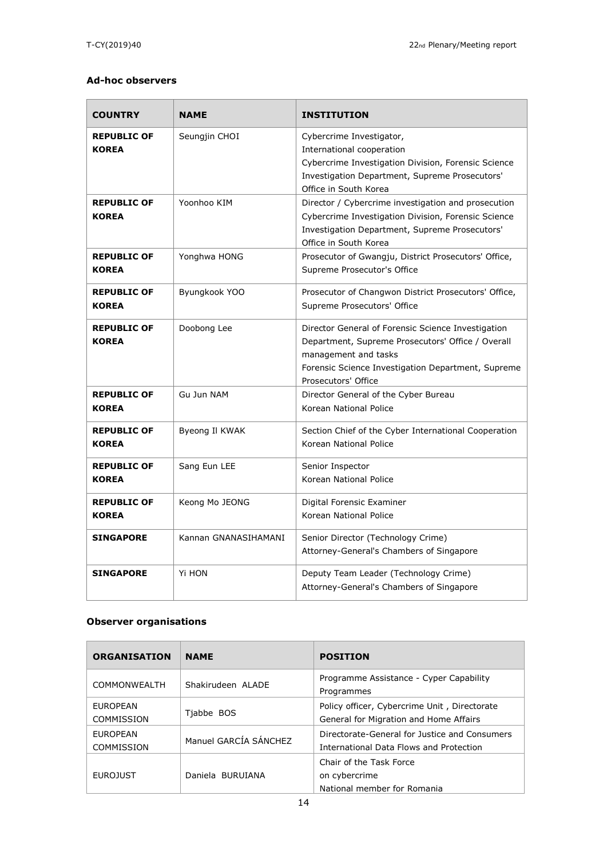### **Ad-hoc observers**

| <b>COUNTRY</b>                     | <b>NAME</b>          | <b>INSTITUTION</b>                                                                                                                                                                                           |
|------------------------------------|----------------------|--------------------------------------------------------------------------------------------------------------------------------------------------------------------------------------------------------------|
| <b>REPUBLIC OF</b><br><b>KOREA</b> | Seungjin CHOI        | Cybercrime Investigator,<br>International cooperation<br>Cybercrime Investigation Division, Forensic Science<br>Investigation Department, Supreme Prosecutors'<br>Office in South Korea                      |
| <b>REPUBLIC OF</b><br><b>KOREA</b> | Yoonhoo KIM          | Director / Cybercrime investigation and prosecution<br>Cybercrime Investigation Division, Forensic Science<br>Investigation Department, Supreme Prosecutors'<br>Office in South Korea                        |
| <b>REPUBLIC OF</b><br><b>KOREA</b> | Yonghwa HONG         | Prosecutor of Gwangju, District Prosecutors' Office,<br>Supreme Prosecutor's Office                                                                                                                          |
| <b>REPUBLIC OF</b><br><b>KOREA</b> | Byungkook YOO        | Prosecutor of Changwon District Prosecutors' Office,<br>Supreme Prosecutors' Office                                                                                                                          |
| <b>REPUBLIC OF</b><br><b>KOREA</b> | Doobong Lee          | Director General of Forensic Science Investigation<br>Department, Supreme Prosecutors' Office / Overall<br>management and tasks<br>Forensic Science Investigation Department, Supreme<br>Prosecutors' Office |
| <b>REPUBLIC OF</b><br><b>KOREA</b> | Gu Jun NAM           | Director General of the Cyber Bureau<br>Korean National Police                                                                                                                                               |
| <b>REPUBLIC OF</b><br><b>KOREA</b> | Byeong Il KWAK       | Section Chief of the Cyber International Cooperation<br>Korean National Police                                                                                                                               |
| <b>REPUBLIC OF</b><br><b>KOREA</b> | Sang Eun LEE         | Senior Inspector<br>Korean National Police                                                                                                                                                                   |
| <b>REPUBLIC OF</b><br><b>KOREA</b> | Keong Mo JEONG       | Digital Forensic Examiner<br>Korean National Police                                                                                                                                                          |
| <b>SINGAPORE</b>                   | Kannan GNANASIHAMANI | Senior Director (Technology Crime)<br>Attorney-General's Chambers of Singapore                                                                                                                               |
| <b>SINGAPORE</b>                   | Yi HON               | Deputy Team Leader (Technology Crime)<br>Attorney-General's Chambers of Singapore                                                                                                                            |

## **Observer organisations**

| <b>ORGANISATION</b>                  | <b>NAME</b>           | <b>POSITION</b>                                                                          |
|--------------------------------------|-----------------------|------------------------------------------------------------------------------------------|
| COMMONWEALTH                         | Shakirudeen ALADE     | Programme Assistance - Cyper Capability<br>Programmes                                    |
| <b>EUROPEAN</b><br><b>COMMISSION</b> | Tjabbe BOS            | Policy officer, Cybercrime Unit, Directorate<br>General for Migration and Home Affairs   |
| <b>EUROPEAN</b><br>COMMISSION        | Manuel GARCÍA SÁNCHEZ | Directorate-General for Justice and Consumers<br>International Data Flows and Protection |
| <b>EUROJUST</b>                      | Daniela BURUIANA      | Chair of the Task Force<br>on cybercrime<br>National member for Romania                  |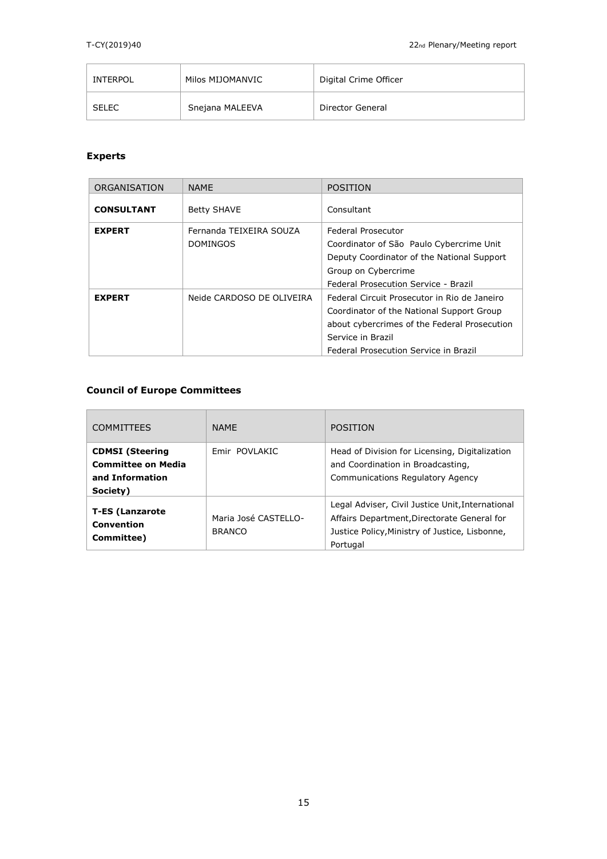| INTERPOL     | Milos MIJOMANVIC | Digital Crime Officer |
|--------------|------------------|-----------------------|
| <b>SELEC</b> | Snejana MALEEVA  | Director General      |

# **Experts**

| ORGANISATION      | <b>NAME</b>                                | <b>POSITION</b>                                                                                                                                                                                         |
|-------------------|--------------------------------------------|---------------------------------------------------------------------------------------------------------------------------------------------------------------------------------------------------------|
| <b>CONSULTANT</b> | <b>Betty SHAVE</b>                         | Consultant                                                                                                                                                                                              |
| <b>EXPERT</b>     | Fernanda TEIXEIRA SOUZA<br><b>DOMINGOS</b> | Federal Prosecutor<br>Coordinator of São Paulo Cybercrime Unit<br>Deputy Coordinator of the National Support<br>Group on Cybercrime<br>Federal Prosecution Service - Brazil                             |
| <b>EXPERT</b>     | Neide CARDOSO DE OLIVEIRA                  | Federal Circuit Prosecutor in Rio de Janeiro<br>Coordinator of the National Support Group<br>about cybercrimes of the Federal Prosecution<br>Service in Brazil<br>Federal Prosecution Service in Brazil |

## **Council of Europe Committees**

| <b>COMMITTEES</b>                                                                  | <b>NAMF</b>                           | POSITION                                                                                                                                                      |
|------------------------------------------------------------------------------------|---------------------------------------|---------------------------------------------------------------------------------------------------------------------------------------------------------------|
| <b>CDMSI</b> (Steering<br><b>Committee on Media</b><br>and Information<br>Society) | Emir POVLAKIC                         | Head of Division for Licensing, Digitalization<br>and Coordination in Broadcasting,<br><b>Communications Regulatory Agency</b>                                |
| <b>T-ES (Lanzarote</b><br>Convention<br>Committee)                                 | Maria José CASTELLO-<br><b>BRANCO</b> | Legal Adviser, Civil Justice Unit, International<br>Affairs Department, Directorate General for<br>Justice Policy, Ministry of Justice, Lisbonne,<br>Portugal |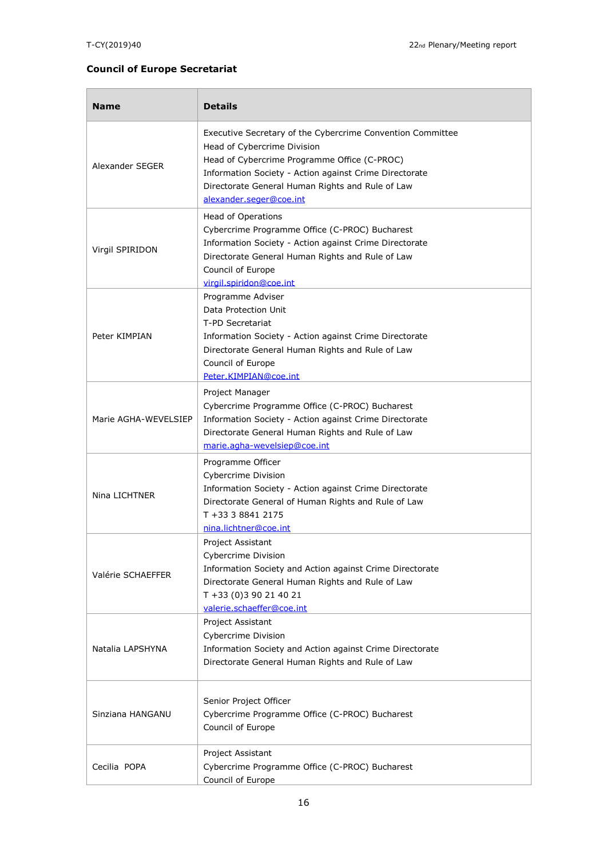## **Council of Europe Secretariat**

| <b>Name</b>          | <b>Details</b>                                                                                                                                                                                                                                                                     |  |
|----------------------|------------------------------------------------------------------------------------------------------------------------------------------------------------------------------------------------------------------------------------------------------------------------------------|--|
| Alexander SEGER      | Executive Secretary of the Cybercrime Convention Committee<br>Head of Cybercrime Division<br>Head of Cybercrime Programme Office (C-PROC)<br>Information Society - Action against Crime Directorate<br>Directorate General Human Rights and Rule of Law<br>alexander.seger@coe.int |  |
| Virgil SPIRIDON      | Head of Operations<br>Cybercrime Programme Office (C-PROC) Bucharest<br>Information Society - Action against Crime Directorate<br>Directorate General Human Rights and Rule of Law<br>Council of Europe<br>virgil.spiridon@coe.int                                                 |  |
| Peter KIMPIAN        | Programme Adviser<br>Data Protection Unit<br>T-PD Secretariat<br>Information Society - Action against Crime Directorate<br>Directorate General Human Rights and Rule of Law<br>Council of Europe<br>Peter.KIMPIAN@coe.int                                                          |  |
| Marie AGHA-WEVELSIEP | Project Manager<br>Cybercrime Programme Office (C-PROC) Bucharest<br>Information Society - Action against Crime Directorate<br>Directorate General Human Rights and Rule of Law<br>marie.agha-wevelsiep@coe.int                                                                    |  |
| Nina LICHTNER        | Programme Officer<br>Cybercrime Division<br>Information Society - Action against Crime Directorate<br>Directorate General of Human Rights and Rule of Law<br>T +33 3 8841 2175<br>nina.lichtner@coe.int                                                                            |  |
| Valérie SCHAEFFER    | <b>Project Assistant</b><br><b>Cybercrime Division</b><br>Information Society and Action against Crime Directorate<br>Directorate General Human Rights and Rule of Law<br>T +33 (0)3 90 21 40 21<br>valerie.schaeffer@coe.int                                                      |  |
| Natalia LAPSHYNA     | Project Assistant<br><b>Cybercrime Division</b><br>Information Society and Action against Crime Directorate<br>Directorate General Human Rights and Rule of Law                                                                                                                    |  |
| Sinziana HANGANU     | Senior Project Officer<br>Cybercrime Programme Office (C-PROC) Bucharest<br>Council of Europe                                                                                                                                                                                      |  |
| Cecilia POPA         | Project Assistant<br>Cybercrime Programme Office (C-PROC) Bucharest<br>Council of Europe                                                                                                                                                                                           |  |